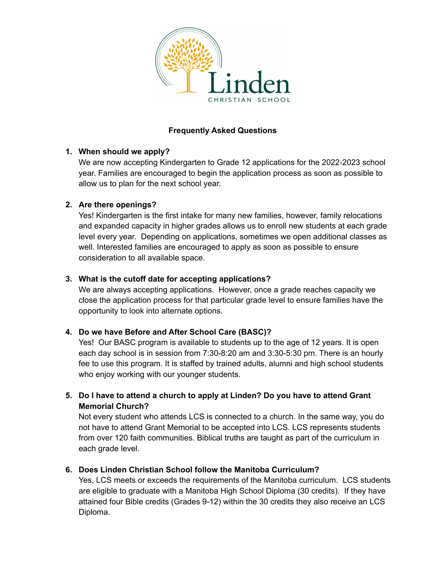

# **Frequently Asked Questions**

## **1. When should we apply?**

We are now accepting Kindergarten to Grade 12 applications for the 2022-2023 school year. Families are encouraged to begin the application process as soon as possible to allow us to plan for the next school year.

## **2. Are there openings?**

Yes! Kindergarten is the first intake for many new families, however, family relocations and expanded capacity in higher grades allows us to enroll new students at each grade level every year. Depending on applications, sometimes we open additional classes as well. Interested families are encouraged to apply as soon as possible to ensure consideration to all available space.

## **3. What is the cutoff date for accepting applications?**

We are always accepting applications. However, once a grade reaches capacity we close the application process for that particular grade level to ensure families have the opportunity to look into alternate options.

# **4. Do we have Before and After School Care (BASC)?**

Yes! Our BASC program is available to students up to the age of 12 years. It is open each day school is in session from 7:30-8:20 am and 3:30-5:30 pm. There is an hourly fee to use this program. It is staffed by trained adults, alumni and high school students who enjoy working with our younger students.

**5. Do I have to attend a church to apply at Linden? Do you have to attend Grant Memorial Church?**

Not every student who attends LCS is connected to a church. In the same way, you do not have to attend Grant Memorial to be accepted into LCS. LCS represents students from over 120 faith communities. Biblical truths are taught as part of the curriculum in each grade level.

## **6. Does Linden Christian School follow the Manitoba Curriculum?**

Yes, LCS meets or exceeds the requirements of the Manitoba curriculum. LCS students are eligible to graduate with a Manitoba High School Diploma (30 credits). If they have attained four Bible credits (Grades 9-12) within the 30 credits they also receive an LCS Diploma.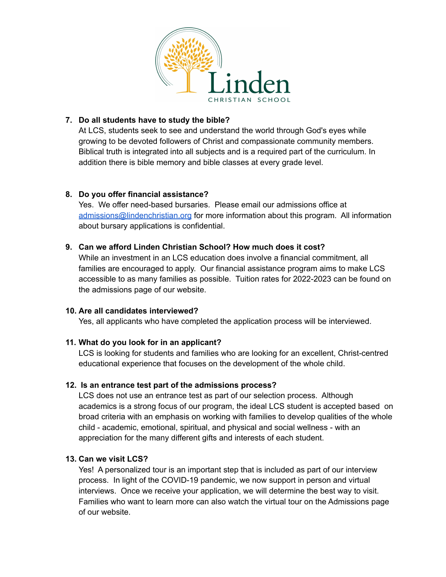

## **7. Do all students have to study the bible?**

At LCS, students seek to see and understand the world through God's eyes while growing to be devoted followers of Christ and compassionate community members. Biblical truth is integrated into all subjects and is a required part of the curriculum. In addition there is bible memory and bible classes at every grade level.

## **8. Do you offer financial assistance?**

Yes. We offer need-based bursaries. Please email our admissions office at [admissions@lindenchristian.org](mailto:admissions@lindenchristian.org) for more information about this program. All information about bursary applications is confidential.

## **9. Can we afford Linden Christian School? How much does it cost?**

While an investment in an LCS education does involve a financial commitment, all families are encouraged to apply. Our financial assistance program aims to make LCS accessible to as many families as possible. Tuition rates for 2022-2023 can be found on the admissions page of our website.

## **10. Are all candidates interviewed?**

Yes, all applicants who have completed the application process will be interviewed.

# **11. What do you look for in an applicant?**

LCS is looking for students and families who are looking for an excellent, Christ-centred educational experience that focuses on the development of the whole child.

# **12. Is an entrance test part of the admissions process?**

LCS does not use an entrance test as part of our selection process. Although academics is a strong focus of our program, the ideal LCS student is accepted based on broad criteria with an emphasis on working with families to develop qualities of the whole child - academic, emotional, spiritual, and physical and social wellness - with an appreciation for the many different gifts and interests of each student.

## **13. Can we visit LCS?**

Yes! A personalized tour is an important step that is included as part of our interview process. In light of the COVID-19 pandemic, we now support in person and virtual interviews. Once we receive your application, we will determine the best way to visit. Families who want to learn more can also watch the virtual tour on the Admissions page of our website.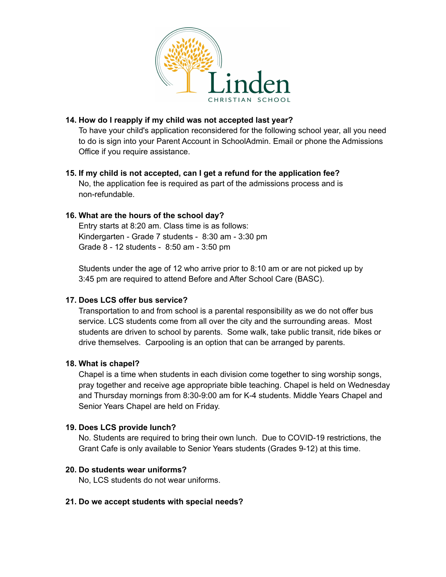

### **14. How do I reapply if my child was not accepted last year?**

To have your child's application reconsidered for the following school year, all you need to do is sign into your Parent Account in SchoolAdmin. Email or phone the Admissions Office if you require assistance.

**15. If my child is not accepted, can I get a refund for the application fee?** No, the application fee is required as part of the admissions process and is non-refundable.

## **16. What are the hours of the school day?**

Entry starts at 8:20 am. Class time is as follows: Kindergarten - Grade 7 students - 8:30 am - 3:30 pm Grade 8 - 12 students - 8:50 am - 3:50 pm

Students under the age of 12 who arrive prior to 8:10 am or are not picked up by 3:45 pm are required to attend Before and After School Care (BASC).

#### **17. Does LCS offer bus service?**

Transportation to and from school is a parental responsibility as we do not offer bus service. LCS students come from all over the city and the surrounding areas. Most students are driven to school by parents. Some walk, take public transit, ride bikes or drive themselves. Carpooling is an option that can be arranged by parents.

#### **18. What is chapel?**

Chapel is a time when students in each division come together to sing worship songs, pray together and receive age appropriate bible teaching. Chapel is held on Wednesday and Thursday mornings from 8:30-9:00 am for K-4 students. Middle Years Chapel and Senior Years Chapel are held on Friday.

#### **19. Does LCS provide lunch?**

No. Students are required to bring their own lunch. Due to COVID-19 restrictions, the Grant Cafe is only available to Senior Years students (Grades 9-12) at this time.

#### **20. Do students wear uniforms?**

No, LCS students do not wear uniforms.

#### **21. Do we accept students with special needs?**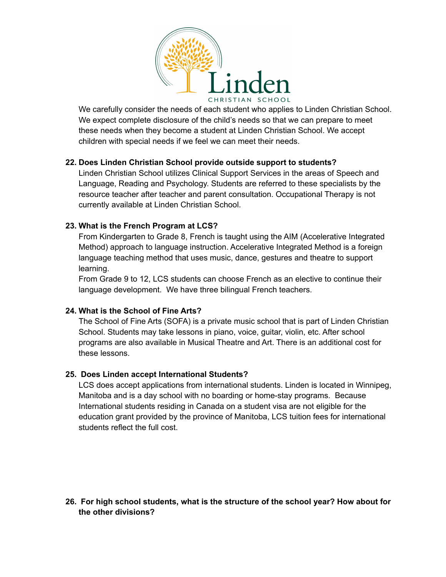

We carefully consider the needs of each student who applies to Linden Christian School. We expect complete disclosure of the child's needs so that we can prepare to meet these needs when they become a student at Linden Christian School. We accept children with special needs if we feel we can meet their needs.

## **22. Does Linden Christian School provide outside support to students?**

Linden Christian School utilizes Clinical Support Services in the areas of Speech and Language, Reading and Psychology. Students are referred to these specialists by the resource teacher after teacher and parent consultation. Occupational Therapy is not currently available at Linden Christian School.

### **23. What is the French Program at LCS?**

From Kindergarten to Grade 8, French is taught using the AIM (Accelerative Integrated Method) approach to language instruction. Accelerative Integrated Method is a foreign language teaching method that uses music, dance, gestures and theatre to support learning.

From Grade 9 to 12, LCS students can choose French as an elective to continue their language development. We have three bilingual French teachers.

#### **24. What is the School of Fine Arts?**

The School of Fine Arts (SOFA) is a private music school that is part of Linden Christian School. Students may take lessons in piano, voice, guitar, violin, etc. After school programs are also available in Musical Theatre and Art. There is an additional cost for these lessons.

#### **25. Does Linden accept International Students?**

LCS does accept applications from international students. Linden is located in Winnipeg, Manitoba and is a day school with no boarding or home-stay programs. Because International students residing in Canada on a student visa are not eligible for the education grant provided by the province of Manitoba, LCS tuition fees for international students reflect the full cost.

### **26. For high school students, what is the structure of the school year? How about for the other divisions?**